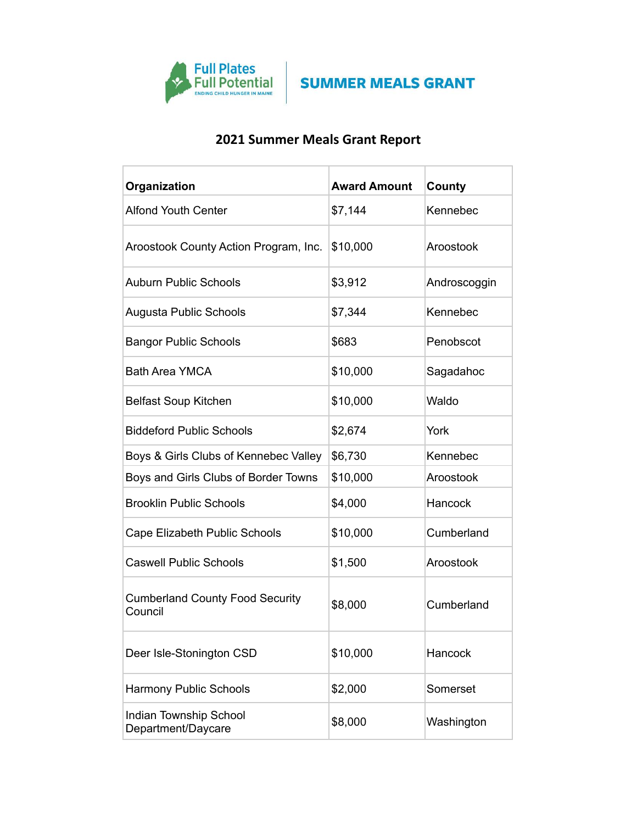

## **2021 Summer Meals Grant Report**

| Organization                                      | <b>Award Amount</b> | County       |
|---------------------------------------------------|---------------------|--------------|
| <b>Alfond Youth Center</b>                        | \$7,144             | Kennebec     |
| Aroostook County Action Program, Inc.             | \$10,000            | Aroostook    |
| <b>Auburn Public Schools</b>                      | \$3,912             | Androscoggin |
| Augusta Public Schools                            | \$7,344             | Kennebec     |
| <b>Bangor Public Schools</b>                      | \$683               | Penobscot    |
| <b>Bath Area YMCA</b>                             | \$10,000            | Sagadahoc    |
| <b>Belfast Soup Kitchen</b>                       | \$10,000            | Waldo        |
| <b>Biddeford Public Schools</b>                   | \$2,674             | York         |
| Boys & Girls Clubs of Kennebec Valley             | \$6,730             | Kennebec     |
| Boys and Girls Clubs of Border Towns              | \$10,000            | Aroostook    |
| <b>Brooklin Public Schools</b>                    | \$4,000             | Hancock      |
| Cape Elizabeth Public Schools                     | \$10,000            | Cumberland   |
| <b>Caswell Public Schools</b>                     | \$1,500             | Aroostook    |
| <b>Cumberland County Food Security</b><br>Council | \$8,000             | Cumberland   |
| Deer Isle-Stonington CSD                          | \$10,000            | Hancock      |
| <b>Harmony Public Schools</b>                     | \$2,000             | Somerset     |
| Indian Township School<br>Department/Daycare      | \$8,000             | Washington   |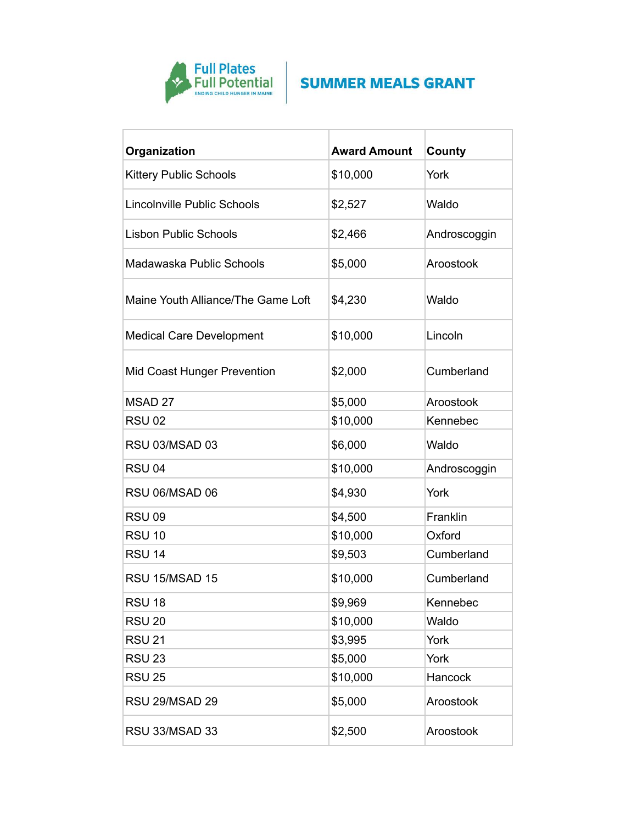

| Organization                       | <b>Award Amount</b> | County       |
|------------------------------------|---------------------|--------------|
| <b>Kittery Public Schools</b>      | \$10,000            | York         |
| Lincolnville Public Schools        | \$2,527             | Waldo        |
| <b>Lisbon Public Schools</b>       | \$2,466             | Androscoggin |
| Madawaska Public Schools           | \$5,000             | Aroostook    |
| Maine Youth Alliance/The Game Loft | \$4,230             | Waldo        |
| <b>Medical Care Development</b>    | \$10,000            | Lincoln      |
| Mid Coast Hunger Prevention        | \$2,000             | Cumberland   |
| MSAD 27                            | \$5,000             | Aroostook    |
| <b>RSU 02</b>                      | \$10,000            | Kennebec     |
| RSU 03/MSAD 03                     | \$6,000             | Waldo        |
| <b>RSU 04</b>                      | \$10,000            | Androscoggin |
| RSU 06/MSAD 06                     | \$4,930             | York         |
| <b>RSU 09</b>                      | \$4,500             | Franklin     |
| <b>RSU 10</b>                      | \$10,000            | Oxford       |
| <b>RSU 14</b>                      | \$9,503             | Cumberland   |
| RSU 15/MSAD 15                     | \$10,000            | Cumberland   |
| <b>RSU 18</b>                      | \$9,969             | Kennebec     |
| <b>RSU 20</b>                      | \$10,000            | Waldo        |
| <b>RSU 21</b>                      | \$3,995             | York         |
| <b>RSU 23</b>                      | \$5,000             | York         |
| <b>RSU 25</b>                      | \$10,000            | Hancock      |
| RSU 29/MSAD 29                     | \$5,000             | Aroostook    |
| RSU 33/MSAD 33                     | \$2,500             | Aroostook    |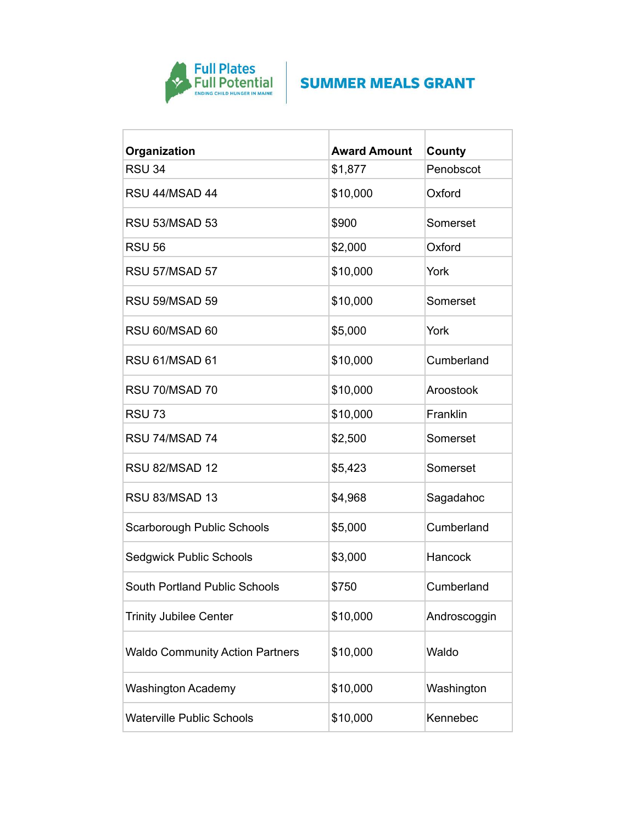

| Organization                           | <b>Award Amount</b> | County       |
|----------------------------------------|---------------------|--------------|
| <b>RSU 34</b>                          | \$1,877             | Penobscot    |
| RSU 44/MSAD 44                         | \$10,000            | Oxford       |
| <b>RSU 53/MSAD 53</b>                  | \$900               | Somerset     |
| <b>RSU 56</b>                          | \$2,000             | Oxford       |
| RSU 57/MSAD 57                         | \$10,000            | York         |
| <b>RSU 59/MSAD 59</b>                  | \$10,000            | Somerset     |
| RSU 60/MSAD 60                         | \$5,000             | York         |
| RSU 61/MSAD 61                         | \$10,000            | Cumberland   |
| RSU 70/MSAD 70                         | \$10,000            | Aroostook    |
| <b>RSU 73</b>                          | \$10,000            | Franklin     |
| RSU 74/MSAD 74                         | \$2,500             | Somerset     |
| RSU 82/MSAD 12                         | \$5,423             | Somerset     |
| RSU 83/MSAD 13                         | \$4,968             | Sagadahoc    |
| Scarborough Public Schools             | \$5,000             | Cumberland   |
| <b>Sedgwick Public Schools</b>         | \$3,000             | Hancock      |
| <b>South Portland Public Schools</b>   | \$750               | Cumberland   |
| <b>Trinity Jubilee Center</b>          | \$10,000            | Androscoggin |
| <b>Waldo Community Action Partners</b> | \$10,000            | Waldo        |
| <b>Washington Academy</b>              | \$10,000            | Washington   |
| <b>Waterville Public Schools</b>       | \$10,000            | Kennebec     |